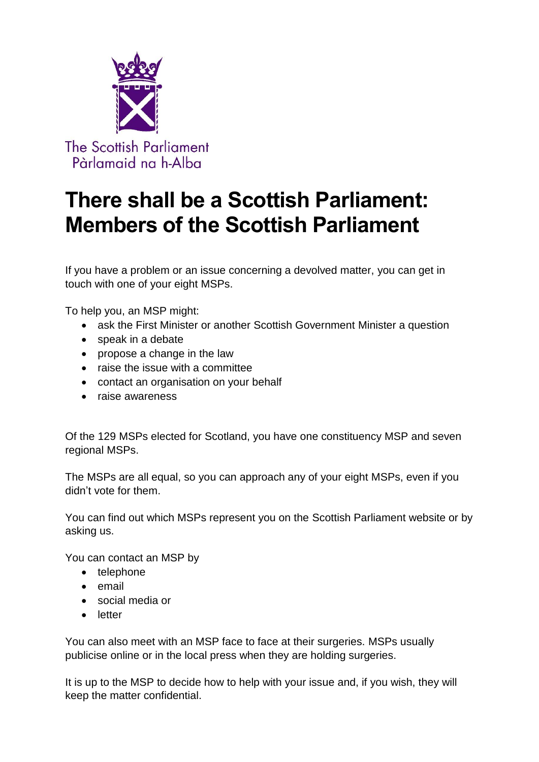

## **There shall be a Scottish Parliament: Members of the Scottish Parliament**

If you have a problem or an issue concerning a devolved matter, you can get in touch with one of your eight MSPs.

To help you, an MSP might:

- ask the First Minister or another Scottish Government Minister a question
- speak in a debate
- propose a change in the law
- raise the issue with a committee
- contact an organisation on your behalf
- raise awareness

Of the 129 MSPs elected for Scotland, you have one constituency MSP and seven regional MSPs.

The MSPs are all equal, so you can approach any of your eight MSPs, even if you didn't vote for them.

You can find out which MSPs represent you on the Scottish Parliament website or by asking us.

You can contact an MSP by

- telephone
- email
- social media or
- letter

You can also meet with an MSP face to face at their surgeries. MSPs usually publicise online or in the local press when they are holding surgeries.

It is up to the MSP to decide how to help with your issue and, if you wish, they will keep the matter confidential.